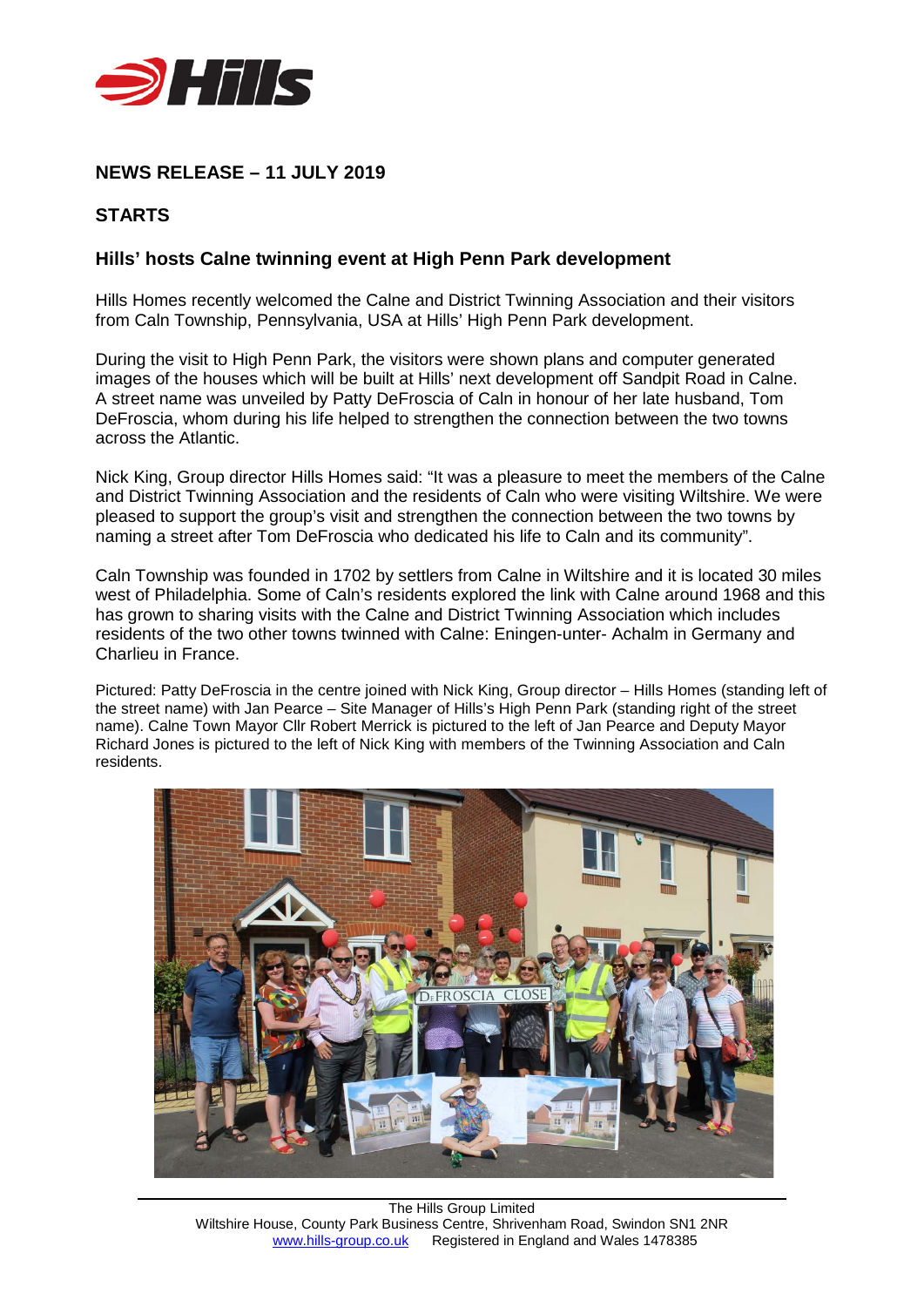

# **NEWS RELEASE – 11 JULY 2019**

## **STARTS**

### **Hills' hosts Calne twinning event at High Penn Park development**

Hills Homes recently welcomed the Calne and District Twinning Association and their visitors from Caln Township, Pennsylvania, USA at Hills' High Penn Park development.

During the visit to High Penn Park, the visitors were shown plans and computer generated images of the houses which will be built at Hills' next development off Sandpit Road in Calne. A street name was unveiled by Patty DeFroscia of Caln in honour of her late husband, Tom DeFroscia, whom during his life helped to strengthen the connection between the two towns across the Atlantic.

Nick King, Group director Hills Homes said: "It was a pleasure to meet the members of the Calne and District Twinning Association and the residents of Caln who were visiting Wiltshire. We were pleased to support the group's visit and strengthen the connection between the two towns by naming a street after Tom DeFroscia who dedicated his life to Caln and its community".

Caln Township was founded in 1702 by settlers from Calne in Wiltshire and it is located 30 miles west of Philadelphia. Some of Caln's residents explored the link with Calne around 1968 and this has grown to sharing visits with the Calne and District Twinning Association which includes residents of the two other towns twinned with Calne: Eningen-unter- Achalm in Germany and Charlieu in France.

Pictured: Patty DeFroscia in the centre joined with Nick King, Group director – Hills Homes (standing left of the street name) with Jan Pearce – Site Manager of Hills's High Penn Park (standing right of the street name). Calne Town Mayor Cllr Robert Merrick is pictured to the left of Jan Pearce and Deputy Mayor Richard Jones is pictured to the left of Nick King with members of the Twinning Association and Caln residents.